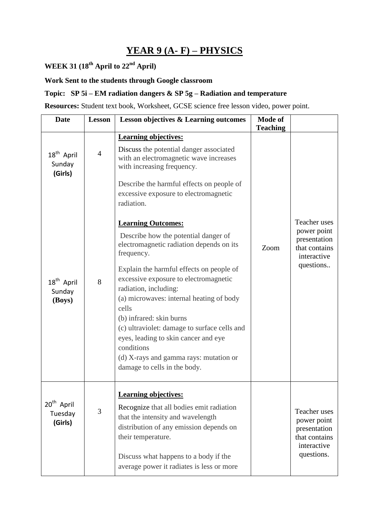## **YEAR 9 (A- F) – PHYSICS**

### **WEEK 31 (18th April to 22nd April)**

#### **Work Sent to the students through Google classroom**

### **Topic: SP 5i – EM radiation dangers & SP 5g – Radiation and temperature**

**Resources:** Student text book, Worksheet, GCSE science free lesson video, power point.

| <b>Date</b>                                  | <b>Lesson</b> | <b>Lesson objectives &amp; Learning outcomes</b>                                                                                                                                                                                                                                                                                                                                                                                                                                                           | <b>Mode of</b><br><b>Teaching</b> |                                                                                                  |
|----------------------------------------------|---------------|------------------------------------------------------------------------------------------------------------------------------------------------------------------------------------------------------------------------------------------------------------------------------------------------------------------------------------------------------------------------------------------------------------------------------------------------------------------------------------------------------------|-----------------------------------|--------------------------------------------------------------------------------------------------|
| 18 <sup>th</sup> April<br>Sunday<br>(Girls)  | 4             | <b>Learning objectives:</b><br>Discuss the potential danger associated<br>with an electromagnetic wave increases<br>with increasing frequency.<br>Describe the harmful effects on people of<br>excessive exposure to electromagnetic<br>radiation.                                                                                                                                                                                                                                                         |                                   |                                                                                                  |
| 18 <sup>th</sup> April<br>Sunday<br>(Boys)   | 8             | <b>Learning Outcomes:</b><br>Describe how the potential danger of<br>electromagnetic radiation depends on its<br>frequency.<br>Explain the harmful effects on people of<br>excessive exposure to electromagnetic<br>radiation, including:<br>(a) microwaves: internal heating of body<br>cells<br>(b) infrared: skin burns<br>(c) ultraviolet: damage to surface cells and<br>eyes, leading to skin cancer and eye<br>conditions<br>(d) X-rays and gamma rays: mutation or<br>damage to cells in the body. | Zoom                              | Teacher uses<br>power point<br>presentation<br>that contains<br>interactive<br>questions         |
| 20 <sup>th</sup> April<br>Tuesday<br>(Girls) | 3             | <b>Learning objectives:</b><br>Recognize that all bodies emit radiation<br>that the intensity and wavelength<br>distribution of any emission depends on<br>their temperature.<br>Discuss what happens to a body if the<br>average power it radiates is less or more                                                                                                                                                                                                                                        |                                   | <b>Teacher</b> uses<br>power point<br>presentation<br>that contains<br>interactive<br>questions. |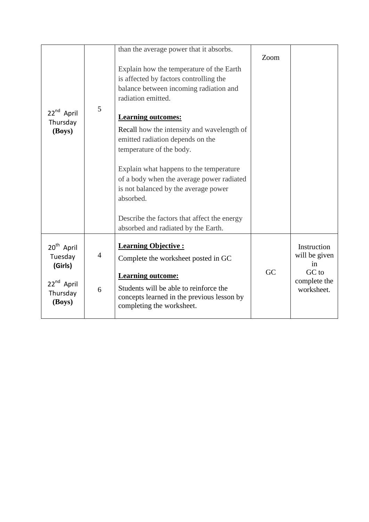| 22 <sup>nd</sup> April<br>Thursday<br>(Boys)                                                 | 5                   | than the average power that it absorbs.<br>Explain how the temperature of the Earth<br>is affected by factors controlling the<br>balance between incoming radiation and<br>radiation emitted.<br><b>Learning outcomes:</b><br>Recall how the intensity and wavelength of<br>emitted radiation depends on the<br>temperature of the body.<br>Explain what happens to the temperature<br>of a body when the average power radiated<br>is not balanced by the average power<br>absorbed.<br>Describe the factors that affect the energy | Zoom |                                                                           |
|----------------------------------------------------------------------------------------------|---------------------|--------------------------------------------------------------------------------------------------------------------------------------------------------------------------------------------------------------------------------------------------------------------------------------------------------------------------------------------------------------------------------------------------------------------------------------------------------------------------------------------------------------------------------------|------|---------------------------------------------------------------------------|
|                                                                                              |                     | absorbed and radiated by the Earth.                                                                                                                                                                                                                                                                                                                                                                                                                                                                                                  |      |                                                                           |
| 20 <sup>th</sup> April<br>Tuesday<br>(Girls)<br>22 <sup>nd</sup> April<br>Thursday<br>(Boys) | $\overline{4}$<br>6 | <b>Learning Objective:</b><br>Complete the worksheet posted in GC<br><b>Learning outcome:</b><br>Students will be able to reinforce the<br>concepts learned in the previous lesson by<br>completing the worksheet.                                                                                                                                                                                                                                                                                                                   | GC   | Instruction<br>will be given<br>in<br>GC to<br>complete the<br>worksheet. |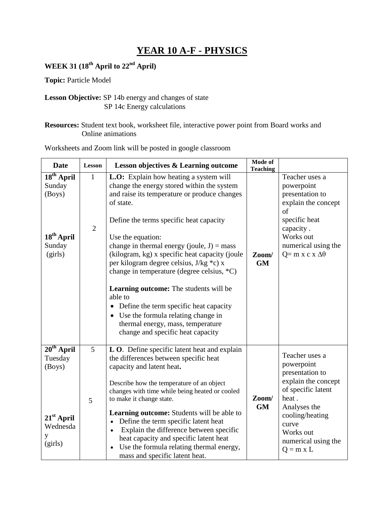### **YEAR 10 A-F - PHYSICS**

### **WEEK 31 (18th April to 22nd April)**

**Topic:** Particle Model

#### **Lesson Objective:** SP 14b energy and changes of state SP 14c Energy calculations

#### **Resources:** Student text book, worksheet file, interactive power point from Board works and Online animations

| <b>Date</b>                                                                               | <b>Lesson</b>                  | <b>Lesson objectives &amp; Learning outcome</b>                                                                                                                                                                                                                                                                                                                                                                                                                                                                                                                                                                                | Mode of<br><b>Teaching</b> |                                                                                                                                                                                                           |
|-------------------------------------------------------------------------------------------|--------------------------------|--------------------------------------------------------------------------------------------------------------------------------------------------------------------------------------------------------------------------------------------------------------------------------------------------------------------------------------------------------------------------------------------------------------------------------------------------------------------------------------------------------------------------------------------------------------------------------------------------------------------------------|----------------------------|-----------------------------------------------------------------------------------------------------------------------------------------------------------------------------------------------------------|
| 18 <sup>th</sup> April<br>Sunday<br>(Boys)<br>18 <sup>th</sup> April<br>Sunday<br>(girls) | $\mathbf{1}$<br>$\overline{2}$ | L.O: Explain how heating a system will<br>change the energy stored within the system<br>and raise its temperature or produce changes<br>of state.<br>Define the terms specific heat capacity<br>Use the equation:<br>change in thermal energy (joule, $J$ ) = mass<br>(kilogram, kg) x specific heat capacity (joule<br>per kilogram degree celsius, J/kg *c) x<br>change in temperature (degree celsius, *C)<br>Learning outcome: The students will be<br>able to<br>• Define the term specific heat capacity<br>Use the formula relating change in<br>thermal energy, mass, temperature<br>change and specific heat capacity | Zoom/<br><b>GM</b>         | Teacher uses a<br>powerpoint<br>presentation to<br>explain the concept<br>of<br>specific heat<br>capacity.<br>Works out<br>numerical using the<br>$Q = m x c x \Delta\theta$                              |
| $20th$ April<br>Tuesday<br>(Boys)<br>$21st$ April<br>Wednesda<br>(girls)                  | 5<br>5                         | L O. Define specific latent heat and explain<br>the differences between specific heat<br>capacity and latent heat.<br>Describe how the temperature of an object<br>changes with time while being heated or cooled<br>to make it change state.<br><b>Learning outcome:</b> Students will be able to<br>Define the term specific latent heat<br>$\bullet$<br>Explain the difference between specific<br>$\bullet$<br>heat capacity and specific latent heat<br>Use the formula relating thermal energy,<br>mass and specific latent heat.                                                                                        | Zoom/<br><b>GM</b>         | Teacher uses a<br>powerpoint<br>presentation to<br>explain the concept<br>of specific latent<br>heat.<br>Analyses the<br>cooling/heating<br>curve<br>Works out<br>numerical using the<br>$Q = m \times L$ |

Worksheets and Zoom link will be posted in google classroom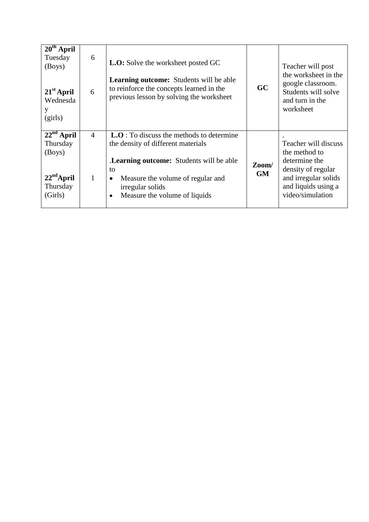| $20th$ April<br>Tuesday<br>(Boys)<br>$21st$ April<br>Wednesda<br>(girls)  | 6<br>6                         | L.O: Solve the worksheet posted GC<br><b>Learning outcome:</b> Students will be able<br>to reinforce the concepts learned in the<br>previous lesson by solving the worksheet                                                                            | GC                 | Teacher will post<br>the worksheet in the<br>google classroom.<br>Students will solve<br>and turn in the<br>worksheet                           |
|---------------------------------------------------------------------------|--------------------------------|---------------------------------------------------------------------------------------------------------------------------------------------------------------------------------------------------------------------------------------------------------|--------------------|-------------------------------------------------------------------------------------------------------------------------------------------------|
| $22nd$ April<br>Thursday<br>(Boys)<br>$22nd$ April<br>Thursday<br>(Girls) | $\overline{4}$<br>$\mathbf{1}$ | $L.O$ : To discuss the methods to determine<br>the density of different materials<br>.Learning outcome: Students will be able<br>to<br>Measure the volume of regular and<br>$\bullet$<br>irregular solids<br>Measure the volume of liquids<br>$\bullet$ | Zoom/<br><b>GM</b> | Teacher will discuss<br>the method to<br>determine the<br>density of regular<br>and irregular solids<br>and liquids using a<br>video/simulation |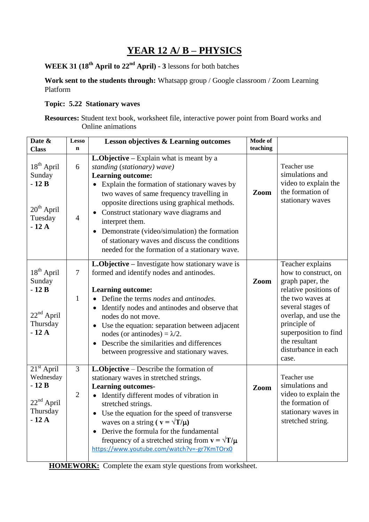### **YEAR 12 A/ B – PHYSICS**

**WEEK 31 (18th April to 22nd April) - 3** lessons for both batches

**Work sent to the students through:** Whatsapp group / Google classroom / Zoom Learning Platform

#### **Topic: 5.22 Stationary waves**

**Resources:** Student text book, worksheet file, interactive power point from Board works and Online animations

| Date &<br><b>Class</b>                                                                     | <b>Lesso</b><br>$\mathbf n$      | <b>Lesson objectives &amp; Learning outcomes</b>                                                                                                                                                                                                                                                                                                                                                                                                                                       | Mode of<br>teaching |                                                                                                                                                                                                                                                  |
|--------------------------------------------------------------------------------------------|----------------------------------|----------------------------------------------------------------------------------------------------------------------------------------------------------------------------------------------------------------------------------------------------------------------------------------------------------------------------------------------------------------------------------------------------------------------------------------------------------------------------------------|---------------------|--------------------------------------------------------------------------------------------------------------------------------------------------------------------------------------------------------------------------------------------------|
| 18 <sup>th</sup> April<br>Sunday<br>$-12B$<br>$20th$ April<br>Tuesday<br>$-12A$            | 6<br>$\overline{4}$              | L.Objective – Explain what is meant by a<br>standing (stationary) wave)<br><b>Learning outcome:</b><br>Explain the formation of stationary waves by<br>two waves of same frequency travelling in<br>opposite directions using graphical methods.<br>• Construct stationary wave diagrams and<br>interpret them.<br>Demonstrate (video/simulation) the formation<br>of stationary waves and discuss the conditions<br>needed for the formation of a stationary wave.                    | Zoom                | Teacher use<br>simulations and<br>video to explain the<br>the formation of<br>stationary waves                                                                                                                                                   |
| 18 <sup>th</sup> April<br>Sunday<br>$-12B$<br>22 <sup>nd</sup> April<br>Thursday<br>$-12A$ | $\tau$<br>$\mathbf{1}$           | L.Objective - Investigate how stationary wave is<br>formed and identify nodes and antinodes.<br><b>Learning outcome:</b><br>Define the terms <i>nodes</i> and <i>antinodes</i> .<br>Identify nodes and antinodes and observe that<br>$\bullet$<br>nodes do not move.<br>Use the equation: separation between adjacent<br>nodes (or antinodes) = $\lambda/2$ .<br>Describe the similarities and differences<br>between progressive and stationary waves.                                | Zoom                | Teacher explains<br>how to construct, on<br>graph paper, the<br>relative positions of<br>the two waves at<br>several stages of<br>overlap, and use the<br>principle of<br>superposition to find<br>the resultant<br>disturbance in each<br>case. |
| $21st$ April<br>Wednesday<br>$-12B$<br>$22nd$ April<br>Thursday<br>$-12A$                  | $\overline{3}$<br>$\overline{2}$ | L.Objective – Describe the formation of<br>stationary waves in stretched strings.<br><b>Learning outcomes-</b><br>Identify different modes of vibration in<br>stretched strings.<br>Use the equation for the speed of transverse<br>waves on a string ( $\mathbf{v} = \sqrt{\mathbf{T}}/\mathbf{\mu}$ )<br>Derive the formula for the fundamental<br>frequency of a stretched string from $\mathbf{v} = \sqrt{\mathbf{T}}/\mathbf{\mu}$<br>https://www.youtube.com/watch?v=-gr7KmTOrx0 | Zoom                | Teacher use<br>simulations and<br>video to explain the<br>the formation of<br>stationary waves in<br>stretched string.                                                                                                                           |

**HOMEWORK:** Complete the exam style questions from worksheet.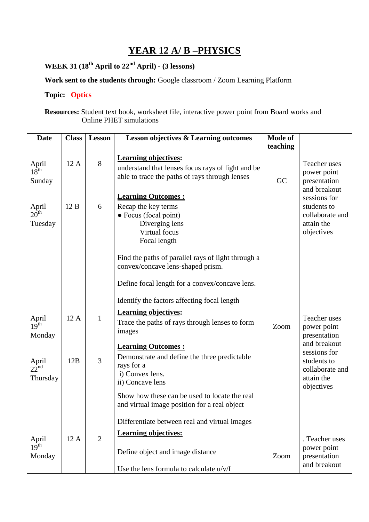# **YEAR 12 A/ B –PHYSICS**

**WEEK 31 (18th April to 22nd April) - (3 lessons)** 

**Work sent to the students through:** Google classroom / Zoom Learning Platform

#### **Topic: Optics**

**Resources:** Student text book, worksheet file, interactive power point from Board works and Online PHET simulations

| <b>Date</b>                           | <b>Class</b> | Lesson         | <b>Lesson objectives &amp; Learning outcomes</b>                                                                                                                                                                                                    | Mode of  |                                                                            |
|---------------------------------------|--------------|----------------|-----------------------------------------------------------------------------------------------------------------------------------------------------------------------------------------------------------------------------------------------------|----------|----------------------------------------------------------------------------|
|                                       |              |                |                                                                                                                                                                                                                                                     | teaching |                                                                            |
| April<br>18 <sup>th</sup><br>Sunday   | 12A          | 8              | <b>Learning objectives:</b><br>understand that lenses focus rays of light and be<br>able to trace the paths of rays through lenses                                                                                                                  | GC       | Teacher uses<br>power point<br>presentation<br>and breakout                |
| April<br>$20^{\text{th}}$<br>Tuesday  | 12B          | 6              | <b>Learning Outcomes:</b><br>Recap the key terms<br>• Focus (focal point)<br>Diverging lens<br>Virtual focus<br>Focal length<br>Find the paths of parallel rays of light through a                                                                  |          | sessions for<br>students to<br>collaborate and<br>attain the<br>objectives |
|                                       |              |                | convex/concave lens-shaped prism.<br>Define focal length for a convex/concave lens.<br>Identify the factors affecting focal length                                                                                                                  |          |                                                                            |
| April<br>19 <sup>th</sup><br>Monday   | 12A          | $\mathbf{1}$   | <b>Learning objectives:</b><br>Trace the paths of rays through lenses to form<br>images<br><b>Learning Outcomes:</b>                                                                                                                                | Zoom     | Teacher uses<br>power point<br>presentation<br>and breakout                |
| April<br>$22^{\text{nd}}$<br>Thursday | 12B          | 3              | Demonstrate and define the three predictable<br>rays for a<br>i) Convex lens.<br>ii) Concave lens<br>Show how these can be used to locate the real<br>and virtual image position for a real object<br>Differentiate between real and virtual images |          | sessions for<br>students to<br>collaborate and<br>attain the<br>objectives |
| April<br>19 <sup>th</sup><br>Monday   | 12A          | $\overline{2}$ | <b>Learning objectives:</b><br>Define object and image distance<br>Use the lens formula to calculate u/v/f                                                                                                                                          | Zoom     | . Teacher uses<br>power point<br>presentation<br>and breakout              |